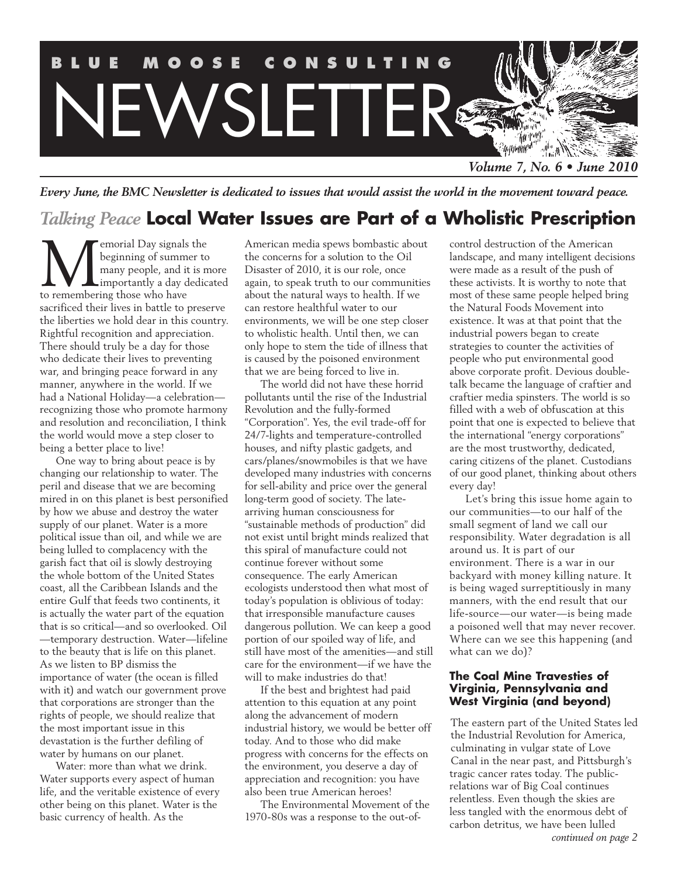

*Every June, the BMC Newsletter is dedicated to issues that would assist the world in the movement toward peace.*

# *Talking Peace* **Local Water Issues are Part of a Wholistic Prescription**

**M**emorial Day signals the<br>beginning of summer to<br>many people, and it is m<br>to remembering those who have beginning of summer to many people, and it is more importantly a day dedicated to remembering those who have sacrificed their lives in battle to preserve the liberties we hold dear in this country. Rightful recognition and appreciation. There should truly be a day for those who dedicate their lives to preventing war, and bringing peace forward in any manner, anywhere in the world. If we had a National Holiday—a celebration recognizing those who promote harmony and resolution and reconciliation, I think the world would move a step closer to being a better place to live!

One way to bring about peace is by changing our relationship to water. The peril and disease that we are becoming mired in on this planet is best personified by how we abuse and destroy the water supply of our planet. Water is a more political issue than oil, and while we are being lulled to complacency with the garish fact that oil is slowly destroying the whole bottom of the United States coast, all the Caribbean Islands and the entire Gulf that feeds two continents, it is actually the water part of the equation that is so critical—and so overlooked. Oil —temporary destruction. Water—lifeline to the beauty that is life on this planet. As we listen to BP dismiss the importance of water (the ocean is filled with it) and watch our government prove that corporations are stronger than the rights of people, we should realize that the most important issue in this devastation is the further defiling of water by humans on our planet.

Water: more than what we drink. Water supports every aspect of human life, and the veritable existence of every other being on this planet. Water is the basic currency of health. As the

American media spews bombastic about the concerns for a solution to the Oil Disaster of 2010, it is our role, once again, to speak truth to our communities about the natural ways to health. If we can restore healthful water to our environments, we will be one step closer to wholistic health. Until then, we can only hope to stem the tide of illness that is caused by the poisoned environment that we are being forced to live in.

The world did not have these horrid pollutants until the rise of the Industrial Revolution and the fully-formed "Corporation". Yes, the evil trade-off for 24/7-lights and temperature-controlled houses, and nifty plastic gadgets, and cars/planes/snowmobiles is that we have developed many industries with concerns for sell-ability and price over the general long-term good of society. The latearriving human consciousness for "sustainable methods of production" did not exist until bright minds realized that this spiral of manufacture could not continue forever without some consequence. The early American ecologists understood then what most of today's population is oblivious of today: that irresponsible manufacture causes dangerous pollution. We can keep a good portion of our spoiled way of life, and still have most of the amenities—and still care for the environment—if we have the will to make industries do that!

If the best and brightest had paid attention to this equation at any point along the advancement of modern industrial history, we would be better off today. And to those who did make progress with concerns for the effects on the environment, you deserve a day of appreciation and recognition: you have also been true American heroes!

The Environmental Movement of the 1970-80s was a response to the out-ofcontrol destruction of the American landscape, and many intelligent decisions were made as a result of the push of these activists. It is worthy to note that most of these same people helped bring the Natural Foods Movement into existence. It was at that point that the industrial powers began to create strategies to counter the activities of people who put environmental good above corporate profit. Devious doubletalk became the language of craftier and craftier media spinsters. The world is so filled with a web of obfuscation at this point that one is expected to believe that the international "energy corporations" are the most trustworthy, dedicated, caring citizens of the planet. Custodians of our good planet, thinking about others every day!

Let's bring this issue home again to our communities—to our half of the small segment of land we call our responsibility. Water degradation is all around us. It is part of our environment. There is a war in our backyard with money killing nature. It is being waged surreptitiously in many manners, with the end result that our life-source—our water—is being made a poisoned well that may never recover. Where can we see this happening (and what can we do)?

#### **The Coal Mine Travesties of Virginia, Pennsylvania and West Virginia (and beyond)**

The<br>the<br>culr<br>Can<br>tragi The eastern part of the United States led the Industrial Revolution for America, culminating in vulgar state of Love Canal in the near past, and Pittsburgh's tragic cancer rates today. The publicrelations war of Big Coal continues relentless. Even though the skies are less tangled with the enormous debt of carbon detritus, we have been lulled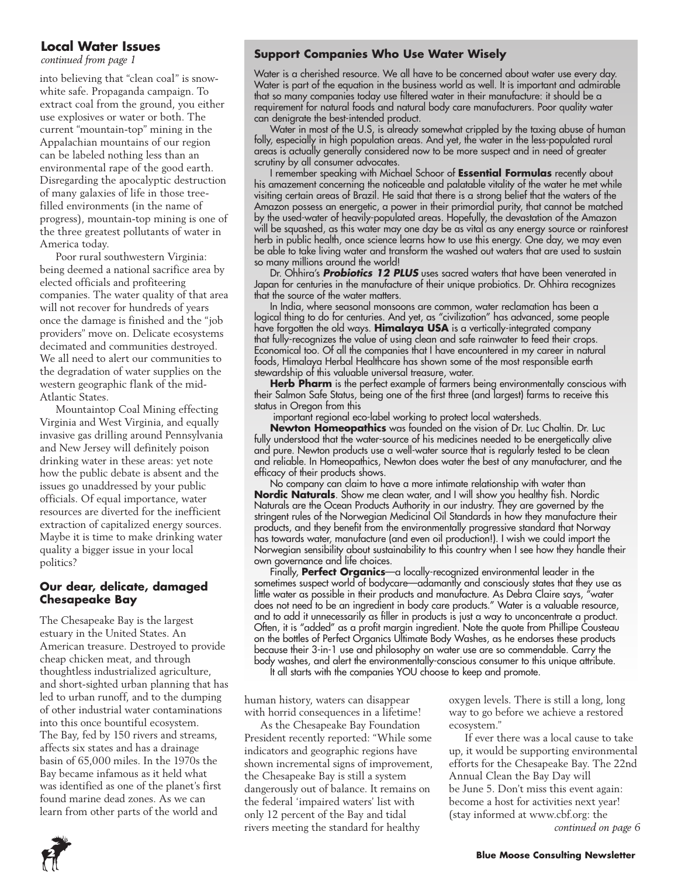# **Local Water Issues**

*continued from page 1*

into believing that "clean coal" is snowwhite safe. Propaganda campaign. To extract coal from the ground, you either use explosives or water or both. The current "mountain-top" mining in the Appalachian mountains of our region can be labeled nothing less than an environmental rape of the good earth. Disregarding the apocalyptic destruction of many galaxies of life in those treefilled environments (in the name of progress), mountain-top mining is one of the three greatest pollutants of water in America today.

Poor rural southwestern Virginia: being deemed a national sacrifice area by elected officials and profiteering companies. The water quality of that area will not recover for hundreds of years once the damage is finished and the "job providers" move on. Delicate ecosystems decimated and communities destroyed. We all need to alert our communities to the degradation of water supplies on the western geographic flank of the mid-Atlantic States.

Mountaintop Coal Mining effecting Virginia and West Virginia, and equally invasive gas drilling around Pennsylvania and New Jersey will definitely poison drinking water in these areas: yet note how the public debate is absent and the issues go unaddressed by your public officials. Of equal importance, water resources are diverted for the inefficient extraction of capitalized energy sources. Maybe it is time to make drinking water quality a bigger issue in your local politics?

### **Our dear, delicate, damaged Chesapeake Bay**

The Chesapeake Bay is the largest estuary in the United States. An American treasure. Destroyed to provide cheap chicken meat, and through thoughtless industrialized agriculture, and short-sighted urban planning that has led to urban runoff, and to the dumping of other industrial water contaminations into this once bountiful ecosystem. The Bay, fed by 150 rivers and streams, affects six states and has a drainage basin of 65,000 miles. In the 1970s the Bay became infamous as it held what was identified as one of the planet's first found marine dead zones. As we can learn from other parts of the world and

# **Support Companies Who Use Water Wisely**

Water is a cherished resource. We all have to be concerned about water use every day. Water is part of the equation in the business world as well. It is important and admirable that so many companies today use filtered water in their manufacture: it should be a requirement for natural foods and natural body care manufacturers. Poor quality water can denigrate the best-intended product.

Water in most of the U.S, is already somewhat crippled by the taxing abuse of human folly, especially in high population areas. And yet, the water in the less-populated rural areas is actually generally considered now to be more suspect and in need of greater scrutiny by all consumer advocates.

I remember speaking with Michael Schoor of **Essential Formulas** recently about his amazement concerning the noticeable and palatable vitality of the water he met while visiting certain areas of Brazil. He said that there is a strong belief that the waters of the Amazon possess an energetic, a power in their primordial purity, that cannot be matched by the used-water of heavily-populated areas. Hopefully, the devastation of the Amazon will be squashed, as this water may one day be as vital as any energy source or rainforest herb in public health, once science learns how to use this energy. One day, we may even be able to take living water and transform the washed out waters that are used to sustain so many millions around the world!

Dr. Ohhira's *Probiotics 12 PLUS* uses sacred waters that have been venerated in Japan for centuries in the manufacture of their unique probiotics. Dr. Ohhira recognizes that the source of the water matters.

In India, where seasonal monsoons are common, water reclamation has been a logical thing to do for centuries. And yet, as "civilization" has advanced, some people have forgotten the old ways. **Himalaya USA** is a vertically-integrated company that fully-recognizes the value of using clean and safe rainwater to feed their crops. Economical too. Of all the companies that I have encountered in my career in natural foods, Himalaya Herbal Healthcare has shown some of the most responsible earth stewardship of this valuable universal treasure, water.

Herb Pharm is the perfect example of farmers being environmentally conscious with their Salmon Safe Status, being one of the first three (and largest) farms to receive this status in Oregon from this

important regional eco-label working to protect local watersheds.

**Newton Homeopathics** was founded on the vision of Dr. Luc Chaltin. Dr. Luc fully understood that the water-source of his medicines needed to be energetically alive and pure. Newton products use a well-water source that is regularly tested to be clean and reliable. In Homeopathics, Newton does water the best of any manufacturer, and the efficacy of their products shows.

No company can claim to have a more intimate relationship with water than **Nordic Naturals**. Show me clean water, and I will show you healthy fish. Nordic Naturals are the Ocean Products Authority in our industry. They are governed by the stringent rules of the Norwegian Medicinal Oil Standards in how they manufacture their products, and they benefit from the environmentally progressive standard that Norway has towards water, manufacture (and even oil production!). I wish we could import the Norwegian sensibility about sustainability to this country when I see how they handle their own governance and life choices.

Finally, **Perfect Organics**—a locally-recognized environmental leader in the sometimes suspect world of bodycare—adamantly and consciously states that they use as little water as possible in their products and manufacture. As Debra Claire says, "water does not need to be an ingredient in body care products." Water is a valuable resource, and to add it unnecessarily as filler in products is just a way to unconcentrate a product. Often, it is "added" as a profit margin ingredient. Note the quote from Phillipe Cousteau on the bottles of Perfect Organics Ultimate Body Washes, as he endorses these products because their 3-in-1 use and philosophy on water use are so commendable. Carry the body washes, and alert the environmentally-conscious consumer to this unique attribute.

It all starts with the companies YOU choose to keep and promote.

human history, waters can disappear with horrid consequences in a lifetime!

As the Chesapeake Bay Foundation President recently reported: "While some indicators and geographic regions have shown incremental signs of improvement, the Chesapeake Bay is still a system dangerously out of balance. It remains on the federal 'impaired waters' list with only 12 percent of the Bay and tidal rivers meeting the standard for healthy

oxygen levels. There is still a long, long way to go before we achieve a restored ecosystem."

If ever there was a local cause to take up, it would be supporting environmental efforts for the Chesapeake Bay. The 22nd Annual Clean the Bay Day will be June 5. Don't miss this event again: become a host for activities next year! (stay informed at www.cbf.org: the

*continued on page 6*

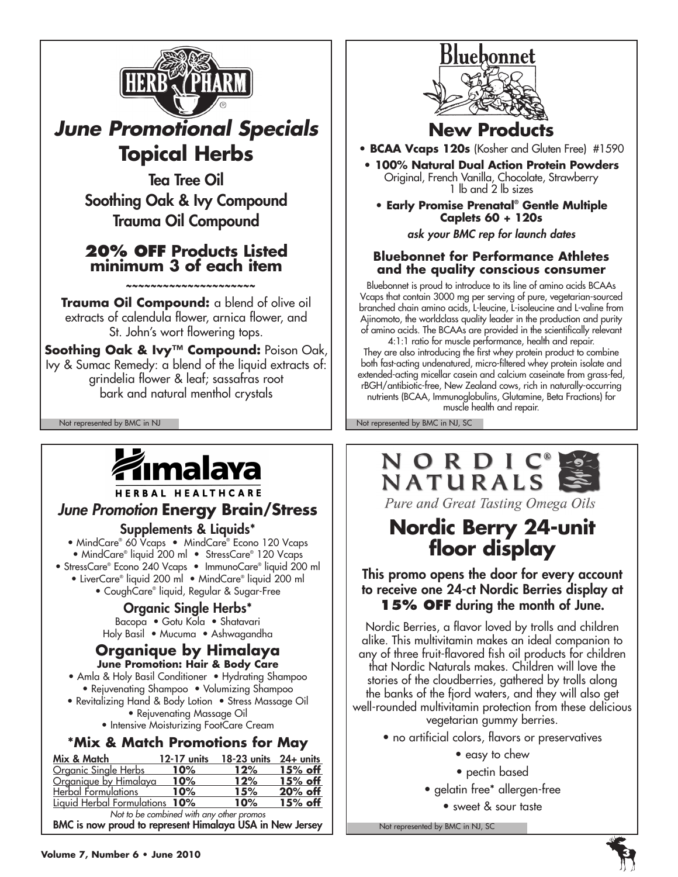

# *June Promotional Specials* **Topical Herbs**

Tea Tree Oil Soothing Oak & Ivy Compound Trauma Oil Compound

# **20% OFF Products Listed minimum 3 of each item**

 *~~~~~~~~~~~~~~~~~~~~~*

**Trauma Oil Compound:** a blend of olive oil extracts of calendula flower, arnica flower, and St. John's wort flowering tops.

**Soothing Oak & Ivy™ Compound:** Poison Oak, Ivy & Sumac Remedy: a blend of the liquid extracts of: grindelia flower & leaf; sassafras root bark and natural menthol crystals

# źmalava

HERBAL HEALTHCARE

# *June Promotion* **Energy Brain/Stress**

# Supplements & Liquids\*

• MindCare® 60 Vcaps • MindCare® Econo 120 Vcaps • MindCare® liquid 200 ml • StressCare® 120 Vcaps • StressCare® Econo 240 Vcaps • ImmunoCare® liquid 200 ml

- LiverCare® liquid 200 ml MindCare® liquid 200 ml
	- CoughCare® liquid, Regular & Sugar-Free

# Organic Single Herbs\*

Bacopa • Gotu Kola • Shatavari Holy Basil • Mucuma • Ashwagandha

### **Organique by Himalaya June Promotion: Hair & Body Care**

• Amla & Holy Basil Conditioner • Hydrating Shampoo • Rejuvenating Shampoo • Volumizing Shampoo

- Revitalizing Hand & Body Lotion Stress Massage Oil • Rejuvenating Massage Oil
	- Intensive Moisturizing FootCare Cream

# **\*Mix & Match Promotions for May**

| Mix & Match                              | $12-17$ units | $18-23$ units $24+$ units |            |  |
|------------------------------------------|---------------|---------------------------|------------|--|
| Organic Single Herbs                     | 10%           | 12%                       | 15% off    |  |
| Organique by Himalaya                    | 10%           | 12%                       | $15\%$ off |  |
| Herbal Formulations                      | 10%           | 15%                       | 20% off    |  |
| Liquid Herbal Formulations 10%           |               | 10%                       | $15%$ off  |  |
| Not to be combined with any other promoc |               |                           |            |  |

*Not to be combined with any other promos* BMC is now proud to represent Himalaya USA in New Jersey



# **New Products**

**• BCAA Vcaps 120s** (Kosher and Gluten Free) #1590

- **100% Natural Dual Action Protein Powders** Original, French Vanilla, Chocolate, Strawberry 1 lb and 2 lb sizes
	- **Early Promise Prenatal® Gentle Multiple Caplets 60 + 120s**

*ask your BMC rep for launch dates*

# **Bluebonnet for Performance Athletes and the quality conscious consumer**

Bluebonnet is proud to introduce to its line of amino acids BCAAs Vcaps that contain 3000 mg per serving of pure, vegetarian-sourced branched chain amino acids, L-leucine, L-isoleucine and L-valine from Ajinomoto, the worldclass quality leader in the production and purity of amino acids. The BCAAs are provided in the scientifically relevant

4:1:1 ratio for muscle performance, health and repair. They are also introducing the first whey protein product to combine both fast-acting undenatured, micro-filtered whey protein isolate and extended-acting micellar casein and calcium caseinate from grass-fed, rBGH/antibiotic-free, New Zealand cows, rich in naturally-occurring nutrients (BCAA, Immunoglobulins, Glutamine, Beta Fractions) for

muscle health and repair.

Not represented by BMC in NJ Not represented by BMC in NJ, SC



Pure and Great Tasting Omega Oils

# **Nordic Berry 24-unit floor display**

This promo opens the door for every account to receive one 24-ct Nordic Berries display at **15% OFF** during the month of June.

Nordic Berries, a flavor loved by trolls and children alike. This multivitamin makes an ideal companion to any of three fruit-flavored fish oil products for children that Nordic Naturals makes. Children will love the stories of the cloudberries, gathered by trolls along the banks of the fjord waters, and they will also get well-rounded multivitamin protection from these delicious vegetarian gummy berries.

- no artificial colors, flavors or preservatives
	- easy to chew
	- pectin based
	- gelatin free\* allergen-free
		- sweet & sour taste

Not represented by BMC in NJ, SC



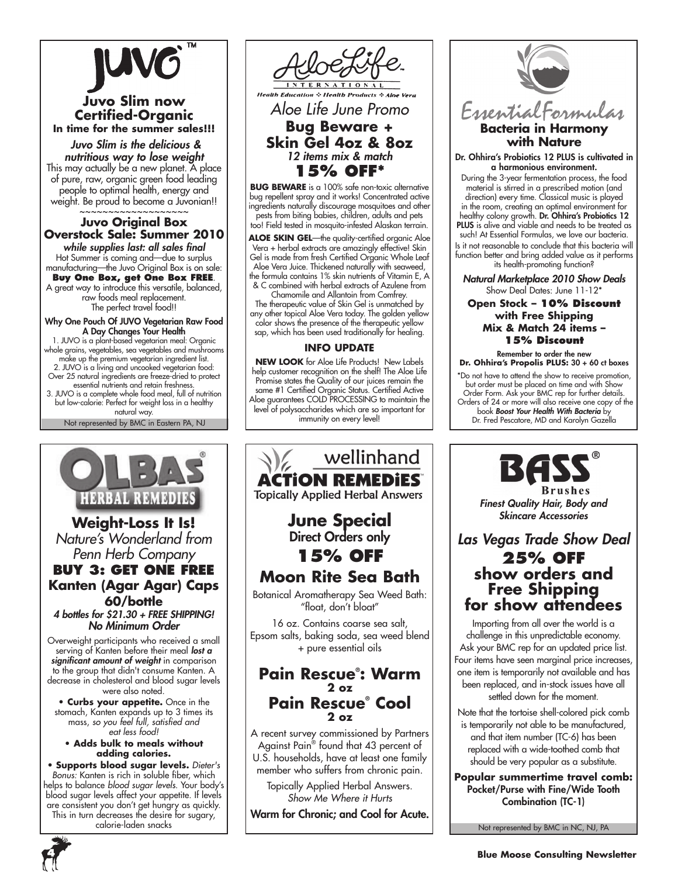

# **Juvo Slim now Certified-Organic In time for the summer sales!!!**

 *Juvo Slim is the delicious & nutritious way to lose weight* This may actually be a new planet. A place of pure, raw, organic green food leading people to optimal health, energy and weight. Be proud to become a Juvonian!!

**Juvo Original Box Overstock Sale: Summer 2010** *while supplies last: all sales final* Hot Summer is coming and—due to surplus manufacturing—the Juvo Original Box is on sale:

**Buy One Box, get One Box FREE**. A great way to introduce this versatile, balanced, raw foods meal replacement. The perfect travel food!!

Why One Pouch Of JUVO Vegetarian Raw Food A Day Changes Your Health

1. JUVO is a plant-based vegetarian meal: Organic whole grains, vegetables, sea vegetables and mushrooms make up the premium vegetarian ingredient list. 2. JUVO is a living and uncooked vegetarian food: Over 25 natural ingredients are freeze-dried to protect essential nutrients and retain freshness. 3. JUVO is a complete whole food meal, full of nutrition but low-calorie: Perfect for weight loss in a healthy natural way.

Not represented by BMC in Eastern PA, NJ



**Weight-Loss It Is!** *Nature's Wonderland from Penn Herb Company* **Buy 3: Get One Free Kanten (Agar Agar) Caps 60/bottle**

*4 bottles for \$21.30 + FREE SHIPPING! No Minimum Order*

Overweight participants who received a small serving of Kanten before their meal *lost a significant amount of weight* in comparison to the group that didn't consume Kanten. A decrease in cholesterol and blood sugar levels were also noted.

**• Curbs your appetite.** Once in the stomach, Kanten expands up to 3 times its mass, *so you feel full, satisfied and eat less food!*

**• Adds bulk to meals without adding calories.** 

• **Supports blood sugar levels.** *Dieter's Bonus:* Kanten is rich in soluble fiber, which helps to balance *blood sugar levels*. Your body's blood sugar levels affect your appetite. If levels are consistent you don't get hungry as quickly. This in turn decreases the desire for sugary, calorie-laden snacks



*Aloe Life June Promo* **Bug Beware +**

**Skin Gel 4oz & 8oz**  *12 items mix & match* **15% off\***

**Bug Beware** is a 100% safe non-toxic alternative bug repellent spray and it works! Concentrated active ingredients naturally discourage mosquitoes and other pests from biting babies, children, adults and pets too! Field tested in mosquito-infested Alaskan terrain.

**Aloe Skin Gel**—the quality-certified organic Aloe Vera + herbal extracts are amazingly effective! Skin Gel is made from fresh Certified Organic Whole Leaf Aloe Vera Juice. Thickened naturally with seaweed, the formula contains 1% skin nutrients of Vitamin E, A & C combined with herbal extracts of Azulene from

Chamomile and Allantoin from Comfrey. The therapeutic value of Skin Gel is unmatched by any other topical Aloe Vera today. The golden yellow color shows the presence of the therapeutic yellow sap, which has been used traditionally for healing.

#### **INFO UPDATE**

**NEW LOOK** for Aloe Life Products! New Labels help customer recognition on the shelf! The Aloe Life Promise states the Quality of our juices remain the same #1 Certified Organic Status. Certified Active Aloe guarantees COLD PROCESSING to maintain the level of polysaccharides which are so important for immunity on every level!





**with Nature**

Dr. Ohhira's Probiotics 12 PLUS is cultivated in a harmonious environment.

During the 3-year fermentation process, the food material is stirred in a prescribed motion (and direction) every time. Classical music is played in the room, creating an optimal environment for healthy colony growth. Dr. Ohhira's Probiotics 12 PLUS is alive and viable and needs to be treated as such! At Essential Formulas, we love our bacteria. Is it not reasonable to conclude that this bacteria will function better and bring added value as it performs its health-promoting function?

*Natural Marketplace 2010 Show Deals* Show Deal Dates: June 11-12\*

### **Open Stock – 10% Discount with Free Shipping Mix & Match 24 items – 15% Discount**

Remember to order the new **Dr. Ohhira's Propolis PLUS:** 30 + 60 ct boxes

\*Do not have to attend the show to receive promotion, but order must be placed on time and with Show Order Form. Ask your BMC rep for further details. Orders of 24 or more will also receive one copy of the book *Boost Your Health With Bacteria* by Dr. Fred Pescatore, MD and Karolyn Gazella

> Brushes *Finest Quality Hair, Body and*

*Skincare Accessories*

# *Las Vegas Trade Show Deal* **25% off show orders and Free Shipping for show attendees**

Importing from all over the world is a challenge in this unpredictable economy. Ask your BMC rep for an updated price list. Four items have seen marginal price increases, one item is temporarily not available and has been replaced, and in-stock issues have all settled down for the moment.

Note that the tortoise shell-colored pick comb is temporarily not able to be manufactured, and that item number (TC-6) has been replaced with a wide-toothed comb that should be very popular as a substitute.

**Popular summertime travel comb:** Pocket/Purse with Fine/Wide Tooth Combination (TC-1)

Not represented by BMC in NC, NJ, PA

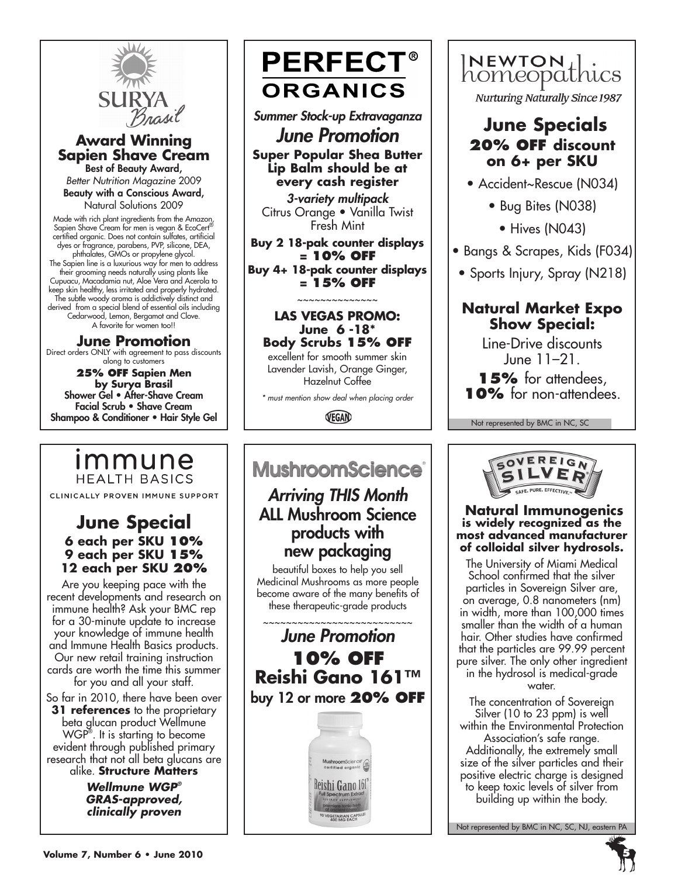

# **Award Winning Sapien Shave Cream**

Best of Beauty Award, *Better Nutrition Magazine* 2009 Beauty with a Conscious Award, Natural Solutions 2009

Made with rich plant ingredients from the Amazon, Sapien Shave Cream for men is vegan & EcoCert<sup>6</sup> certified organic. Does not contain sulfates, artificial dyes or fragrance, parabens, PVP, silicone, DEA, phthalates, GMOs or propylene glycol. The Sapien line is a luxurious way for men to address their grooming needs naturally using plants like Cupuacu, Macadamia nut, Aloe Vera and Acerola to keep skin healthy, less irritated and properly hydrated. The subtle woody aroma is addictively distinct and derived from a special blend of essential oils including Cedarwood, Lemon, Bergamot and Clove. A favorite for women too!!

# **June Promotion**

Direct orders ONLY with agreement to pass discounts along to customers

**25% off Sapien Men by Surya Brasil** Shower Gel • After-Shave Cream Facial Scrub • Shave Cream Shampoo & Conditioner • Hair Style Gel

# immune **HEALTH BASICS**

CLINICALLY PROVEN IMMUNE SUPPORT

# **June Special 6 each per SKU 10% 9 each per SKU 15% 12 each per SKU 20%**

Are you keeping pace with the recent developments and research on immune health? Ask your BMC rep for a 30-minute update to increase your knowledge of immune health and Immune Health Basics products. Our new retail training instruction cards are worth the time this summer for you and all your staff.

So far in 2010, there have been over **31 references** to the proprietary beta glucan product Wellmune WGP® . It is starting to become evident through published primary research that not all beta glucans are alike. **Structure Matters**

> *Wellmune WGP® GRAS-approved, clinically proven*

# **PERFECT® ORGANICS**

*Summer Stock-up Extravaganza*

*June Promotion* **Super Popular Shea Butter Lip Balm should be at** 

**every cash register** *3-variety multipack* Citrus Orange • Vanilla Twist Fresh Mint

**Buy 2 18-pak counter displays = 10% off Buy 4+ 18-pak counter displays** 

**= 15% off** ~~~~~~~~~~~~~~

## **Las Vegas Promo: June 6 -18\* Body Scrubs 15% off**

excellent for smooth summer skin Lavender Lavish, Orange Ginger, Hazelnut Coffee

*\* must mention show deal when placing order*

VEGAN

# ٦ **MushroomScience®**

# *Arriving THIS Month* ALL Mushroom Science products with new packaging

beautiful boxes to help you sell Medicinal Mushrooms as more people become aware of the many benefits of these therapeutic-grade products

~~~~~~~~~~~~~~~~~~~~~~~~

# *June Promotion* **10% off Reishi Gano 161™** buy 12 or more **20% off**



INEWTON Lics

**Nurturing Naturally Since 1987** 

# **June Specials 20% OFF discount on 6+ per SKU**

- Accident~Rescue (N034)
	- Bug Bites (N038)
		- Hives (N043)
- Bangs & Scrapes, Kids (F034)
- Sports Injury, Spray (N218)

# **Natural Market Expo Show Special:**

Line-Drive discounts June 11–21.

**15%** for attendees, **10%** for non-attendees.

Not represented by BMC in NC, SC



## **Natural Immunogenics is widely recognized as the most advanced manufacturer of colloidal silver hydrosols.**

The University of Miami Medical School confirmed that the silver particles in Sovereign Silver are, on average, 0.8 nanometers (nm) in width, more than 100,000 times smaller than the width of a human hair. Other studies have confirmed that the particles are 99.99 percent pure silver. The only other ingredient in the hydrosol is medical-grade

water.

The concentration of Sovereign Silver (10 to 23 ppm) is well within the Environmental Protection

Association's safe range. Additionally, the extremely small size of the silver particles and their positive electric charge is designed to keep toxic levels of silver from building up within the body.

Not represented by BMC in NC, SC, NJ, eastern PA

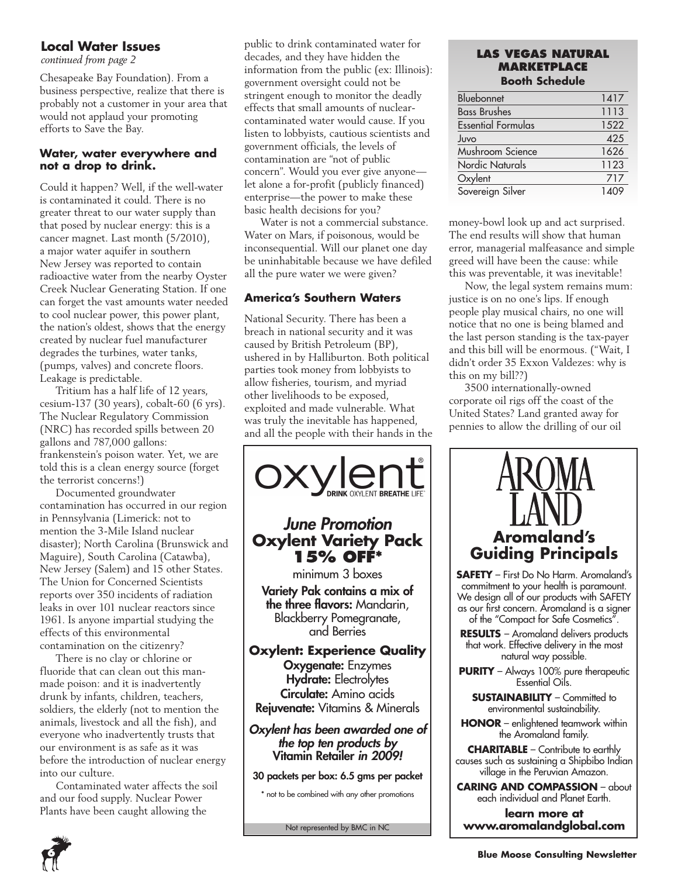# **Local Water Issues**

Chesapeake Bay Foundation). From a business perspective, realize that there is probably not a customer in your area that would not applaud your promoting efforts to Save the Bay.

### **Water, water everywhere and not a drop to drink.**

Could it happen? Well, if the well-water is contaminated it could. There is no greater threat to our water supply than that posed by nuclear energy: this is a cancer magnet. Last month (5/2010), a major water aquifer in southern New Jersey was reported to contain radioactive water from the nearby Oyster Creek Nuclear Generating Station. If one can forget the vast amounts water needed to cool nuclear power, this power plant, the nation's oldest, shows that the energy created by nuclear fuel manufacturer degrades the turbines, water tanks, (pumps, valves) and concrete floors. Leakage is predictable.

Tritium has a half life of 12 years, cesium-137 (30 years), cobalt-60 (6 yrs). The Nuclear Regulatory Commission (NRC) has recorded spills between 20 gallons and 787,000 gallons: frankenstein's poison water. Yet, we are told this is a clean energy source (forget the terrorist concerns!)

Documented groundwater contamination has occurred in our region in Pennsylvania (Limerick: not to mention the 3-Mile Island nuclear disaster); North Carolina (Brunswick and Maguire), South Carolina (Catawba), New Jersey (Salem) and 15 other States. The Union for Concerned Scientists reports over 350 incidents of radiation leaks in over 101 nuclear reactors since 1961. Is anyone impartial studying the effects of this environmental contamination on the citizenry?

There is no clay or chlorine or fluoride that can clean out this manmade poison: and it is inadvertently drunk by infants, children, teachers, soldiers, the elderly (not to mention the animals, livestock and all the fish), and everyone who inadvertently trusts that our environment is as safe as it was before the introduction of nuclear energy into our culture.

Contaminated water affects the soil and our food supply. Nuclear Power Plants have been caught allowing the

public to drink contaminated water for **LAS VEGAS NATURAL**<br> *continued from page 2* **LAS VEGAS NATURAL** information from the public (ex: Illinois): government oversight could not be stringent enough to monitor the deadly effects that small amounts of nuclearcontaminated water would cause. If you listen to lobbyists, cautious scientists and government officials, the levels of contamination are "not of public concern". Would you ever give anyone let alone a for-profit (publicly financed) enterprise—the power to make these basic health decisions for you?

> Water is not a commercial substance. Water on Mars, if poisonous, would be inconsequential. Will our planet one day be uninhabitable because we have defiled all the pure water we were given?

# **America's Southern Waters**

National Security. There has been a breach in national security and it was caused by British Petroleum (BP), ushered in by Halliburton. Both political parties took money from lobbyists to allow fisheries, tourism, and myriad other livelihoods to be exposed, exploited and made vulnerable. What was truly the inevitable has happened, and all the people with their hands in the



#### Not represented by BMC in NC

# **Marketplace Booth Schedule**

| Bluebonnet                | 1417 |
|---------------------------|------|
| <b>Bass Brushes</b>       | 1113 |
| <b>Essential Formulas</b> | 1522 |
| Juvo                      | 425  |
| Mushroom Science          | 1626 |
| <b>Nordic Naturals</b>    | 1123 |
| Oxylent                   | 717  |
| Sovereign Silver          | 1409 |
|                           |      |

money-bowl look up and act surprised. The end results will show that human error, managerial malfeasance and simple greed will have been the cause: while this was preventable, it was inevitable!

Now, the legal system remains mum: justice is on no one's lips. If enough people play musical chairs, no one will notice that no one is being blamed and the last person standing is the tax-payer and this bill will be enormous. ("Wait, I didn't order 35 Exxon Valdezes: why is this on my bill??)

3500 internationally-owned corporate oil rigs off the coast of the United States? Land granted away for pennies to allow the drilling of our oil

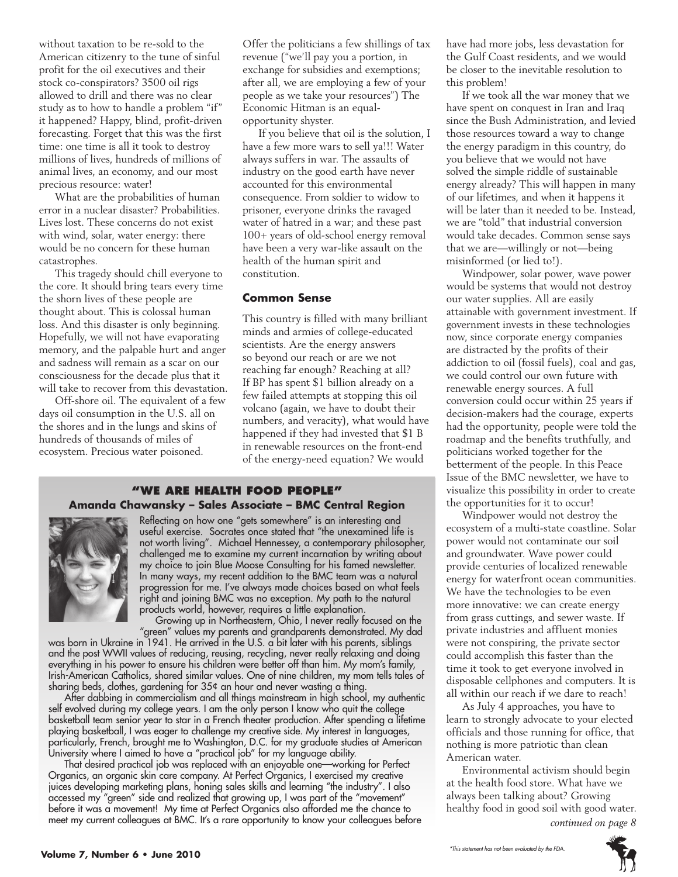without taxation to be re-sold to the American citizenry to the tune of sinful profit for the oil executives and their stock co-conspirators? 3500 oil rigs allowed to drill and there was no clear study as to how to handle a problem "if" it happened? Happy, blind, profit-driven forecasting. Forget that this was the first time: one time is all it took to destroy millions of lives, hundreds of millions of animal lives, an economy, and our most precious resource: water!

What are the probabilities of human error in a nuclear disaster? Probabilities. Lives lost. These concerns do not exist with wind, solar, water energy: there would be no concern for these human catastrophes.

This tragedy should chill everyone to the core. It should bring tears every time the shorn lives of these people are thought about. This is colossal human loss. And this disaster is only beginning. Hopefully, we will not have evaporating memory, and the palpable hurt and anger and sadness will remain as a scar on our consciousness for the decade plus that it will take to recover from this devastation.

Off-shore oil. The equivalent of a few days oil consumption in the U.S. all on the shores and in the lungs and skins of hundreds of thousands of miles of ecosystem. Precious water poisoned.

Offer the politicians a few shillings of tax revenue ("we'll pay you a portion, in exchange for subsidies and exemptions; after all, we are employing a few of your people as we take your resources") The Economic Hitman is an equalopportunity shyster.

If you believe that oil is the solution, I have a few more wars to sell ya!!! Water always suffers in war. The assaults of industry on the good earth have never accounted for this environmental consequence. From soldier to widow to prisoner, everyone drinks the ravaged water of hatred in a war; and these past 100+ years of old-school energy removal have been a very war-like assault on the health of the human spirit and constitution.

#### **Common Sense**

This country is filled with many brilliant minds and armies of college-educated scientists. Are the energy answers so beyond our reach or are we not reaching far enough? Reaching at all? If BP has spent \$1 billion already on a few failed attempts at stopping this oil volcano (again, we have to doubt their numbers, and veracity), what would have happened if they had invested that \$1 B in renewable resources on the front-end of the energy-need equation? We would

#### **"We Are health food people" Amanda Chawansky – Sales Associate – BMC Central Region**



Reflecting on how one "gets somewhere" is an interesting and useful exercise. Socrates once stated that "the unexamined life is not worth living". Michael Hennessey, a contemporary philosopher, challenged me to examine my current incarnation by writing about my choice to join Blue Moose Consulting for his famed newsletter. In many ways, my recent addition to the BMC team was a natural progression for me. I've always made choices based on what feels right and joining BMC was no exception. My path to the natural products world, however, requires a little explanation.

Growing up in Northeastern, Ohio, I never really focused on the "green" values my parents and grandparents demonstrated. My dad

was born in Ukraine in 1941. He arrived in the U.S. a bit later with his parents, siblings and the post WWII values of reducing, reusing, recycling, never really relaxing and doing everything in his power to ensure his children were better off than him. My mom's family, Irish-American Catholics, shared similar values. One of nine children, my mom tells tales of sharing beds, clothes, gardening for 35¢ an hour and never wasting a thing.

After dabbing in commercialism and all things mainstream in high school, my authentic self evolved during my college years. I am the only person I know who quit the college basketball team senior year to star in a French theater production. After spending a lifetime playing basketball, I was eager to challenge my creative side. My interest in languages, particularly, French, brought me to Washington, D.C. for my graduate studies at American University where I aimed to have a "practical job" for my language ability.

That desired practical job was replaced with an enjoyable one—working for Perfect Organics, an organic skin care company. At Perfect Organics, I exercised my creative juices developing marketing plans, honing sales skills and learning "the industry". I also accessed my "green" side and realized that growing up, I was part of the "movement" before it was a movement! My time at Perfect Organics also afforded me the chance to meet my current colleagues at BMC. It's a rare opportunity to know your colleagues before have had more jobs, less devastation for the Gulf Coast residents, and we would be closer to the inevitable resolution to this problem!

If we took all the war money that we have spent on conquest in Iran and Iraq since the Bush Administration, and levied those resources toward a way to change the energy paradigm in this country, do you believe that we would not have solved the simple riddle of sustainable energy already? This will happen in many of our lifetimes, and when it happens it will be later than it needed to be. Instead, we are "told" that industrial conversion would take decades. Common sense says that we are—willingly or not—being misinformed (or lied to!).

Windpower, solar power, wave power would be systems that would not destroy our water supplies. All are easily attainable with government investment. If government invests in these technologies now, since corporate energy companies are distracted by the profits of their addiction to oil (fossil fuels), coal and gas, we could control our own future with renewable energy sources. A full conversion could occur within 25 years if decision-makers had the courage, experts had the opportunity, people were told the roadmap and the benefits truthfully, and politicians worked together for the betterment of the people. In this Peace Issue of the BMC newsletter, we have to visualize this possibility in order to create the opportunities for it to occur!

Windpower would not destroy the ecosystem of a multi-state coastline. Solar power would not contaminate our soil and groundwater. Wave power could provide centuries of localized renewable energy for waterfront ocean communities. We have the technologies to be even more innovative: we can create energy from grass cuttings, and sewer waste. If private industries and affluent monies were not conspiring, the private sector could accomplish this faster than the time it took to get everyone involved in disposable cellphones and computers. It is all within our reach if we dare to reach!

As July 4 approaches, you have to learn to strongly advocate to your elected officials and those running for office, that nothing is more patriotic than clean American water.

Environmental activism should begin at the health food store. What have we always been talking about? Growing healthy food in good soil with good water. *continued on page 8*